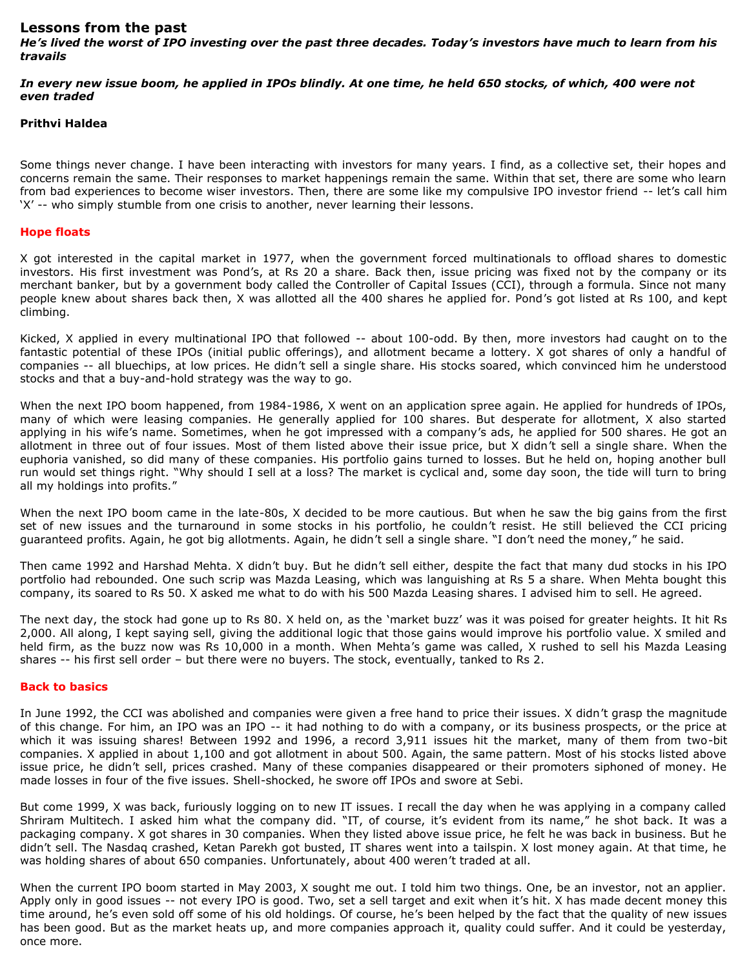# **Lessons from the past**

*He's lived the worst of IPO investing over the past three decades. Today's investors have much to learn from his travails* 

*In every new issue boom, he applied in IPOs blindly. At one time, he held 650 stocks, of which, 400 were not even traded*

### **Prithvi Haldea**

Some things never change. I have been interacting with investors for many years. I find, as a collective set, their hopes and concerns remain the same. Their responses to market happenings remain the same. Within that set, there are some who learn from bad experiences to become wiser investors. Then, there are some like my compulsive IPO investor friend -- let's call him 'X' -- who simply stumble from one crisis to another, never learning their lessons.

### **Hope floats**

X got interested in the capital market in 1977, when the government forced multinationals to offload shares to domestic investors. His first investment was Pond's, at Rs 20 a share. Back then, issue pricing was fixed not by the company or its merchant banker, but by a government body called the Controller of Capital Issues (CCI), through a formula. Since not many people knew about shares back then, X was allotted all the 400 shares he applied for. Pond's got listed at Rs 100, and kept climbing.

Kicked, X applied in every multinational IPO that followed -- about 100-odd. By then, more investors had caught on to the fantastic potential of these IPOs (initial public offerings), and allotment became a lottery. X got shares of only a handful of companies -- all bluechips, at low prices. He didn't sell a single share. His stocks soared, which convinced him he understood stocks and that a buy-and-hold strategy was the way to go.

When the next IPO boom happened, from 1984-1986, X went on an application spree again. He applied for hundreds of IPOs, many of which were leasing companies. He generally applied for 100 shares. But desperate for allotment, X also started applying in his wife's name. Sometimes, when he got impressed with a company's ads, he applied for 500 shares. He got an allotment in three out of four issues. Most of them listed above their issue price, but X didn't sell a single share. When the euphoria vanished, so did many of these companies. His portfolio gains turned to losses. But he held on, hoping another bull run would set things right. "Why should I sell at a loss? The market is cyclical and, some day soon, the tide will turn to bring all my holdings into profits."

When the next IPO boom came in the late-80s, X decided to be more cautious. But when he saw the big gains from the first set of new issues and the turnaround in some stocks in his portfolio, he couldn't resist. He still believed the CCI pricing guaranteed profits. Again, he got big allotments. Again, he didn't sell a single share. "I don't need the money," he said.

Then came 1992 and Harshad Mehta. X didn't buy. But he didn't sell either, despite the fact that many dud stocks in his IPO portfolio had rebounded. One such scrip was Mazda Leasing, which was languishing at Rs 5 a share. When Mehta bought this company, its soared to Rs 50. X asked me what to do with his 500 Mazda Leasing shares. I advised him to sell. He agreed.

The next day, the stock had gone up to Rs 80. X held on, as the 'market buzz' was it was poised for greater heights. It hit Rs 2,000. All along, I kept saying sell, giving the additional logic that those gains would improve his portfolio value. X smiled and held firm, as the buzz now was Rs 10,000 in a month. When Mehta's game was called, X rushed to sell his Mazda Leasing shares -- his first sell order – but there were no buyers. The stock, eventually, tanked to Rs 2.

#### **Back to basics**

In June 1992, the CCI was abolished and companies were given a free hand to price their issues. X didn't grasp the magnitude of this change. For him, an IPO was an IPO -- it had nothing to do with a company, or its business prospects, or the price at which it was issuing shares! Between 1992 and 1996, a record 3,911 issues hit the market, many of them from two-bit companies. X applied in about 1,100 and got allotment in about 500. Again, the same pattern. Most of his stocks listed above issue price, he didn't sell, prices crashed. Many of these companies disappeared or their promoters siphoned of money. He made losses in four of the five issues. Shell-shocked, he swore off IPOs and swore at Sebi.

But come 1999, X was back, furiously logging on to new IT issues. I recall the day when he was applying in a company called Shriram Multitech. I asked him what the company did. "IT, of course, it's evident from its name," he shot back. It was a packaging company. X got shares in 30 companies. When they listed above issue price, he felt he was back in business. But he didn't sell. The Nasdaq crashed, Ketan Parekh got busted, IT shares went into a tailspin. X lost money again. At that time, he was holding shares of about 650 companies. Unfortunately, about 400 weren't traded at all.

When the current IPO boom started in May 2003, X sought me out. I told him two things. One, be an investor, not an applier. Apply only in good issues -- not every IPO is good. Two, set a sell target and exit when it's hit. X has made decent money this time around, he's even sold off some of his old holdings. Of course, he's been helped by the fact that the quality of new issues has been good. But as the market heats up, and more companies approach it, quality could suffer. And it could be yesterday, once more.